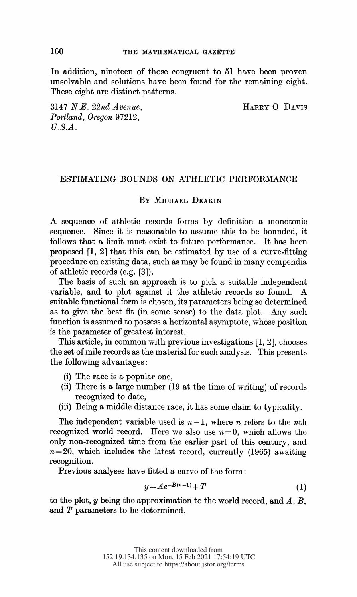In addition, nineteen of those congruent to 51 have been proven unsolvable and solutions have been found for the remaining eight. These eight are distinct patterns.

 3147 N.E. 22nd Avenue, HARRY O. DAVIS Portland, Oregon 97212,  $U.S.A.$ 

# ESTIMATING BOUNDS ON ATHLETIC PERFORMANCE

## BY MICHAEL DEAKIN

 A sequence of athletic records forms by definition a monotonic sequence. Since it is reasonable to assume this to be bounded, it follows that a limit must exist to future performance. It has been proposed [1, 2] that this can be estimated by use of a curve-fitting procedure on existing data, such as may be found in many compendia of athletic records (e.g. [3]).

 The basis of such an approach is to pick a suitable independent variable, and to plot against it the athletic records so found. A suitable functional form is chosen, its parameters being so determined as to give the best fit (in some sense) to the data plot. Any such function is assumed to possess a horizontal asymptote, whose position is the parameter of greatest interest.

 This article, in common with previous investigations [1, 2], chooses the set of mile records as the material for such analysis. This presents the following advantages:

- (i) The race is a popular one,
- (ii) There is a large number (19 at the time of writing) of records recognized to date,
- (iii) Being a middle distance race, it has some claim to typicality.

The independent variable used is  $n-1$ , where n refers to the nth recognized world record. Here we also use  $n=0$ , which allows the only non-recognized time from the earlier part of this century, and  $n=20$ , which includes the latest record, currently (1965) awaiting recognition.

Previous analyses have fitted a curve of the form:

$$
y = Ae^{-B(n-1)} + T \tag{1}
$$

to the plot,  $y$  being the approximation to the world record, and  $A, B$ , and  $T$  parameters to be determined.

100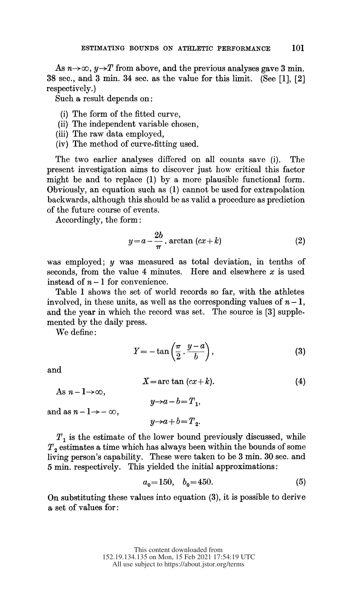As  $n\rightarrow\infty$ ,  $y\rightarrow T$  from above, and the previous analyses gave 3 min. 38 sec., and 3 min. 34 sec. as the value for this limit. (See [1], [2] respectively.)

Such a result depends on:

- (i) The form of the fitted curve,
- (ii) The independent variable chosen,
- (iii) The raw data employed,
- (iv) The method of curve-fitting used.

 The two earlier analyses differed on all counts save (i). The present investigation aims to discover just how critical this factor might be and to replace (1) by a more plausible functional form. Obviously, an equation such as (1) cannot be used for extrapolation backwards, although this should be as valid a procedure as prediction of the future course of events.

Accordingly, the form:

$$
y = a - \frac{2b}{\pi} \cdot \arctan\left(cx + k\right) \tag{2}
$$

was employed;  $y$  was measured as total deviation, in tenths of seconds, from the value 4 minutes. Here and elsewhere  $x$  is used instead of  $n-1$  for convenience.

 Table 1 shows the set of world records so far, with the athletes involved, in these units, as well as the corresponding values of  $n-1$ , and the year in which the record was set. The source is [3] supple mented by the daily press.

We define:

$$
Y = -\tan\left(\frac{\pi}{2} \cdot \frac{y-a}{b}\right),\tag{3}
$$

and

$$
X = \arctan\left(cx + k\right). \tag{4}
$$

and as  $n - 1 \rightarrow -\infty$ ,

As  $n - 1 \rightarrow \infty$ ,

 $y\rightarrow a+b=T_2$ .

 $y\rightarrow a-b=T_1$ ,

 $\boldsymbol{T}_1$  is the estimate of the lower bound previously discussed, while  $T<sub>2</sub>$  estimates a time which has always been within the bounds of some living person's capability. These were taken to be 3 min. 30 sec. and 5 min. respectively. This yielded the initial approximations:

$$
a_0 = 150, \quad b_0 = 450. \tag{5}
$$

 On substituting these values into equation (3), it is possible to derive a set of values for: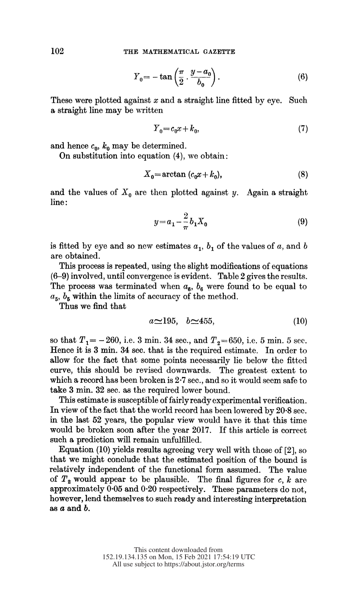$$
Y_0 = -\tan\left(\frac{\pi}{2}\cdot\frac{y-a_0}{b_0}\right). \tag{6}
$$

These were plotted against  $x$  and a straight line fitted by eye. Such a straight line may be written

$$
Y_0 = c_0 x + k_0,\tag{7}
$$

and hence  $c_0$ ,  $k_0$  may be determined.

On substitution into equation (4), we obtain:

$$
X_0 = \arctan\left(c_0 x + k_0\right),\tag{8}
$$

and the values of  $X_0$  are then plotted against y. Again a straight line:

$$
y = a_1 - \frac{2}{\pi} b_1 X_0 \tag{9}
$$

is fitted by eye and so new estimates  $a_1$ ,  $b_1$  of the values of a, and b are obtained.

 This process is repeated, using the slight modifications of equations (6-9) involved, until convergence is evident. Table 2 gives the results. The process was terminated when  $a_6$ ,  $b_6$  were found to be equal to  $a_5$ ,  $b_5$  within the limits of accuracy of the method.

Thus we find that

$$
a \approx 195, \quad b \approx 455,\tag{10}
$$

so that  $T_1 = -260$ , i.e. 3 min. 34 sec., and  $T_2 = 650$ , i.e. 5 min. 5 sec. Hence it is 3 min. 34 sec. that is the required estimate. In order to allow for the fact that some points necessarily lie below the fitted curve, this should be revised downwards. The greatest extent to which a record has been broken is 2.7 sec., and so it would seem safe to take 3 min. 32 sec. as the required lower bound.

 This estimate is susceptible of fairly ready experimental verification. In view of the fact that the world record has been lowered by 20.8 sec. in the last 52 years, the popular view would have it that this time would be broken soon after the year 2017. If this article is correct such a prediction will remain unfulfilled.

 Equation (10) yields results agreeing very well with those of [2], so that we might conclude that the estimated position of the bound is relatively independent of the functional form assumed. The value of  $T_2$  would appear to be plausible. The final figures for c, k are approximately 0-05 and 0-20 respectively. These parameters do not, however, lend themselves to such ready and interesting interpretation as  $a$  and  $b$ .

102